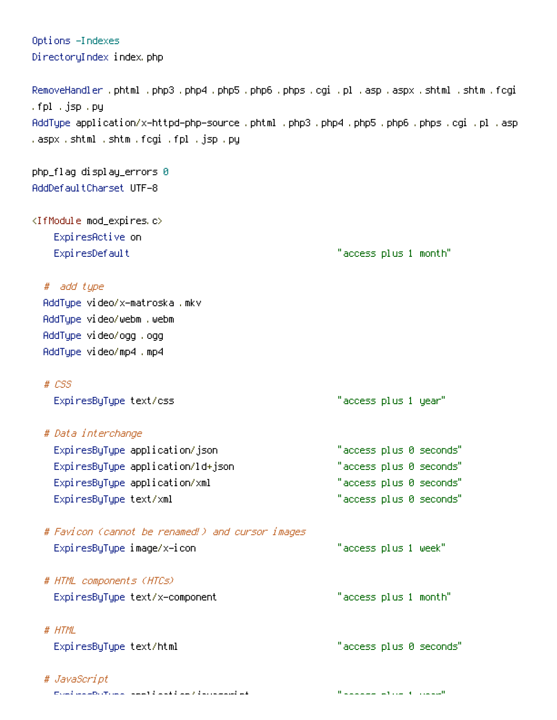| Options -Indexes                                                                                                                    |                         |
|-------------------------------------------------------------------------------------------------------------------------------------|-------------------------|
| DirectoryIndex index.php                                                                                                            |                         |
| RemoveHandler .phtml .php3 .php4 .php5 .php6 .phps .cgi .pl .asp .aspx .shtml .shtm .fcgi                                           |                         |
| .fpl .jsp .py                                                                                                                       |                         |
| AddType application/x—httpd—php—source .phtml .php3 .php4 .php5 .php6 .phps .cgi .pl .asp<br>.aspx .shtml .shtm .fogi .fpl .jsp .py |                         |
| php_flag display_errors 0                                                                                                           |                         |
| AddDefaultChanset UTF-8                                                                                                             |                         |
| <ifmodule mod_expires.c=""></ifmodule>                                                                                              |                         |
| ExpiresActive on                                                                                                                    |                         |
| ExpiresDefault                                                                                                                      | "access plus 1 month"   |
| # add type                                                                                                                          |                         |
| AddType video/x-matroska.mkv                                                                                                        |                         |
| AddType video/webm .webm                                                                                                            |                         |
| AddType video/ogg .ogg                                                                                                              |                         |
| AddType video/mp4.mp4                                                                                                               |                         |
| $# \text{ } \text{CSS}$                                                                                                             |                         |
| ExpiresByType text/css                                                                                                              | "access plus 1 year"    |
| # Data interchange                                                                                                                  |                         |
| ExpiresByType application/json                                                                                                      | "access plus 0 seconds" |
| ExpiresByType application/ld+json                                                                                                   | "access plus 0 seconds" |
| ExpiresByType application/xml                                                                                                       | "access plus 0 seconds" |
| ExpiresByType text/xml                                                                                                              | "access plus 0 seconds" |
| # Favicon (cannot be renamed!) and cursor images                                                                                    |                         |
| ExpiresByType image/x-icon                                                                                                          | "access plus 1 week"    |
| # HTML components (HTCs)                                                                                                            |                         |
| ExpiresByType text/x-component                                                                                                      | "access plus 1 month"   |
| # HTML                                                                                                                              |                         |
| ExpiresByType text/html                                                                                                             | "access plus 0 seconds" |
| # JavaScript                                                                                                                        |                         |